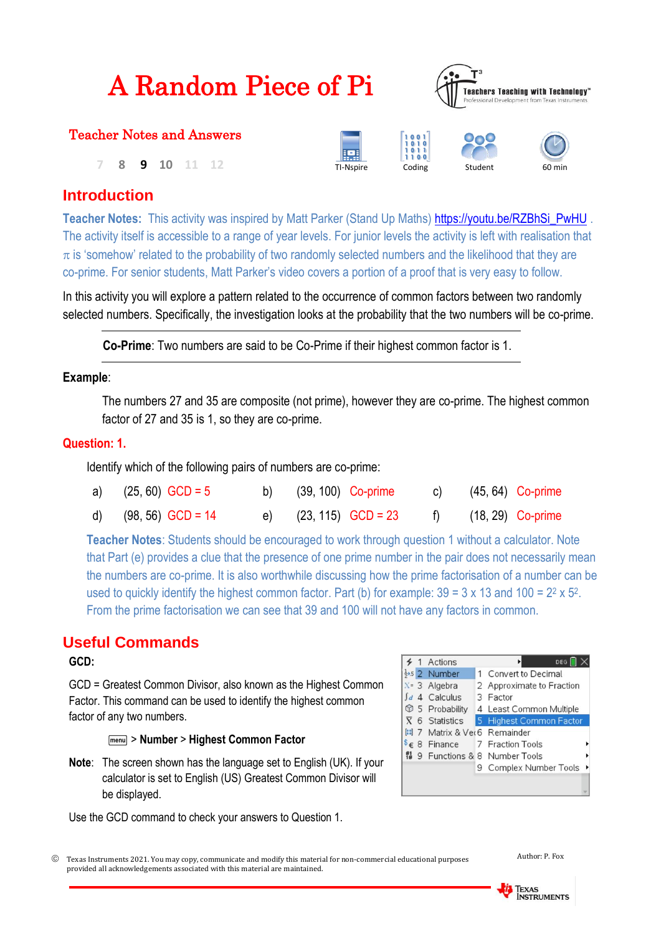| <b>A Random Piece of Pi</b> |  |  |
|-----------------------------|--|--|
|-----------------------------|--|--|



## Teacher Notes and Answers

**7 8 9 10** 11 12 **TI-Nspire** Coding





# **Introduction**

**Teacher Notes:** This activity was inspired by Matt Parker (Stand Up Maths) [https://youtu.be/RZBhSi\\_PwHU](https://youtu.be/RZBhSi_PwHU) . The activity itself is accessible to a range of year levels. For junior levels the activity is left with realisation that  $\pi$  is 'somehow' related to the probability of two randomly selected numbers and the likelihood that they are co-prime. For senior students, Matt Parker's video covers a portion of a proof that is very easy to follow.

In this activity you will explore a pattern related to the occurrence of common factors between two randomly selected numbers. Specifically, the investigation looks at the probability that the two numbers will be co-prime.

**Co-Prime**: Two numbers are said to be Co-Prime if their highest common factor is 1.

## **Example**:

The numbers 27 and 35 are composite (not prime), however they are co-prime. The highest common factor of 27 and 35 is 1, so they are co-prime.

## **Question: 1.**

Identify which of the following pairs of numbers are co-prime:

| a) $(25, 60)$ GCD = 5  | b) $(39, 100)$ Co-prime |                         |  | c) (45, 64) Co-prime   |
|------------------------|-------------------------|-------------------------|--|------------------------|
| d) $(98, 56)$ GCD = 14 |                         | e) $(23, 115)$ GCD = 23 |  | f) $(18, 29)$ Co-prime |

**Teacher Notes**: Students should be encouraged to work through question 1 without a calculator. Note that Part (e) provides a clue that the presence of one prime number in the pair does not necessarily mean the numbers are co-prime. It is also worthwhile discussing how the prime factorisation of a number can be used to quickly identify the highest common factor. Part (b) for example:  $39 = 3 \times 13$  and  $100 = 2^2 \times 5^2$ . From the prime factorisation we can see that 39 and 100 will not have any factors in common.

# **Useful Commands**

### **GCD:**

GCD = Greatest Common Divisor, also known as the Highest Common Factor. This command can be used to identify the highest common factor of any two numbers.

b> **Number** > **Highest Common Factor**

**Note**: The screen shown has the language set to English (UK). If your calculator is set to English (US) Greatest Common Divisor will be displayed.

Use the GCD command to check your answers to Question 1.





Texas Instruments 2021. You may copy, communicate and modify this material for non-commercial educational purposes provided all acknowledgements associated with this material are maintained.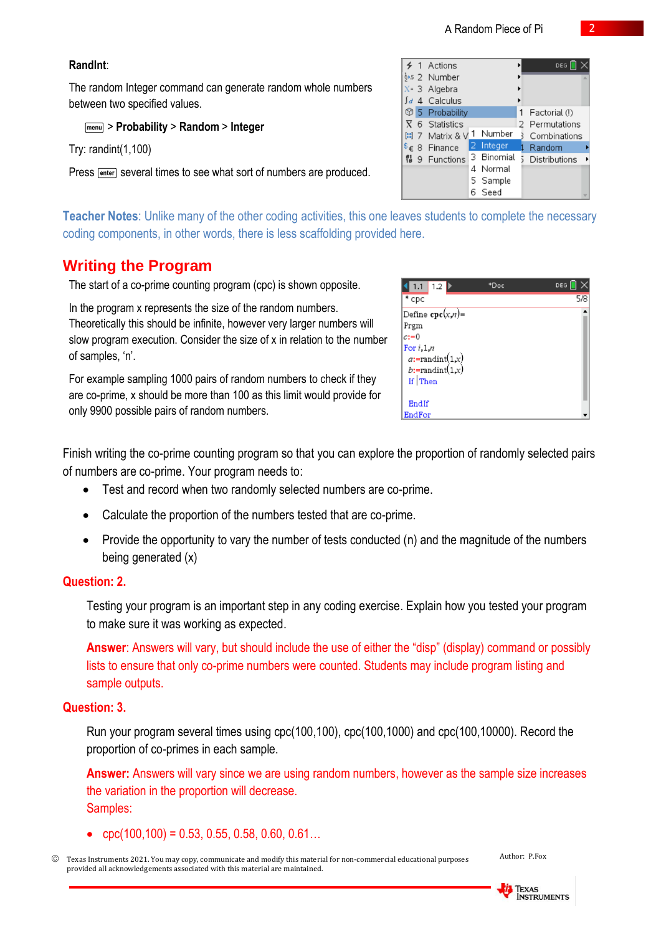### **RandInt**:

The random Integer command can generate random whole numbers between two specified values.

### b> **Probability** > **Random** > **Integer**

Try: randint(1,100)

Press **Fenter** several times to see what sort of numbers are produced.

**Teacher Notes**: Unlike many of the other coding activities, this one leaves students to complete the necessary coding components, in other words, there is less scaffolding provided here.

# **Writing the Program**

The start of a co-prime counting program (cpc) is shown opposite.

In the program x represents the size of the random numbers. Theoretically this should be infinite, however very larger numbers will slow program execution. Consider the size of x in relation to the number of samples, 'n'.

For example sampling 1000 pairs of random numbers to check if they are co-prime, x should be more than 100 as this limit would provide for only 9900 possible pairs of random numbers.

Finish writing the co-prime counting program so that you can explore the proportion of randomly selected pairs of numbers are co-prime. Your program needs to:

- Test and record when two randomly selected numbers are co-prime.
- Calculate the proportion of the numbers tested that are co-prime.
- Provide the opportunity to vary the number of tests conducted (n) and the magnitude of the numbers being generated (x)

### **Question: 2.**

Testing your program is an important step in any coding exercise. Explain how you tested your program to make sure it was working as expected.

**Answer**: Answers will vary, but should include the use of either the "disp" (display) command or possibly lists to ensure that only co-prime numbers were counted. Students may include program listing and sample outputs.

### **Question: 3.**

Run your program several times using cpc(100,100), cpc(100,1000) and cpc(100,10000). Record the proportion of co-primes in each sample.

**Answer:** Answers will vary since we are using random numbers, however as the sample size increases the variation in the proportion will decrease. Samples:

- $\text{cpc}(100, 100) = 0.53, 0.55, 0.58, 0.60, 0.61...$
- Texas Instruments 2021. You may copy, communicate and modify this material for non-commercial educational purposes provided all acknowledgements associated with this material are maintained.





| 1.2 <sub>b</sub><br>1.1            | *Doc | <b>DEG</b> |
|------------------------------------|------|------------|
| $*$ срс                            |      | 5/8        |
| Define $\operatorname{cpc}(x,n)$ = |      |            |
| Prgm                               |      |            |
| $c:=0$                             |      |            |
| For $i, 1, n$                      |      |            |
| $a:$ =randint $(1,x)$              |      |            |
| b:=randint(1,x)                    |      |            |
| If Then                            |      |            |
|                                    |      |            |
| EndIf                              |      |            |
| EndFor                             |      |            |